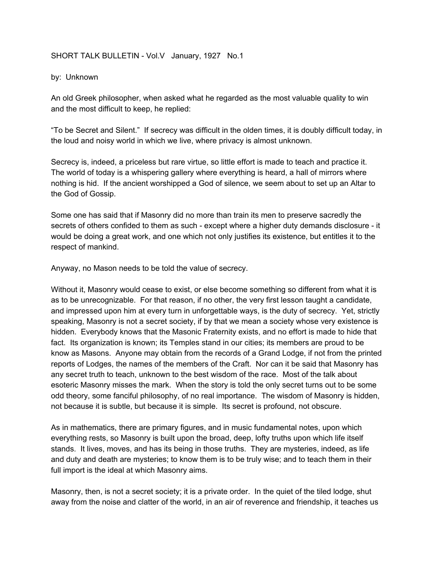## SHORT TALK BULLETIN - Vol.V January, 1927 No.1

## by: Unknown

An old Greek philosopher, when asked what he regarded as the most valuable quality to win and the most difficult to keep, he replied:

"To be Secret and Silent." If secrecy was difficult in the olden times, it is doubly difficult today, in the loud and noisy world in which we live, where privacy is almost unknown.

Secrecy is, indeed, a priceless but rare virtue, so little effort is made to teach and practice it. The world of today is a whispering gallery where everything is heard, a hall of mirrors where nothing is hid. If the ancient worshipped a God of silence, we seem about to set up an Altar to the God of Gossip.

Some one has said that if Masonry did no more than train its men to preserve sacredly the secrets of others confided to them as such - except where a higher duty demands disclosure - it would be doing a great work, and one which not only justifies its existence, but entitles it to the respect of mankind.

Anyway, no Mason needs to be told the value of secrecy.

Without it, Masonry would cease to exist, or else become something so different from what it is as to be unrecognizable. For that reason, if no other, the very first lesson taught a candidate, and impressed upon him at every turn in unforgettable ways, is the duty of secrecy. Yet, strictly speaking, Masonry is not a secret society, if by that we mean a society whose very existence is hidden. Everybody knows that the Masonic Fraternity exists, and no effort is made to hide that fact. Its organization is known; its Temples stand in our cities; its members are proud to be know as Masons. Anyone may obtain from the records of a Grand Lodge, if not from the printed reports of Lodges, the names of the members of the Craft. Nor can it be said that Masonry has any secret truth to teach, unknown to the best wisdom of the race. Most of the talk about esoteric Masonry misses the mark. When the story is told the only secret turns out to be some odd theory, some fanciful philosophy, of no real importance. The wisdom of Masonry is hidden, not because it is subtle, but because it is simple. Its secret is profound, not obscure.

As in mathematics, there are primary figures, and in music fundamental notes, upon which everything rests, so Masonry is built upon the broad, deep, lofty truths upon which life itself stands. It lives, moves, and has its being in those truths. They are mysteries, indeed, as life and duty and death are mysteries; to know them is to be truly wise; and to teach them in their full import is the ideal at which Masonry aims.

Masonry, then, is not a secret society; it is a private order. In the quiet of the tiled lodge, shut away from the noise and clatter of the world, in an air of reverence and friendship, it teaches us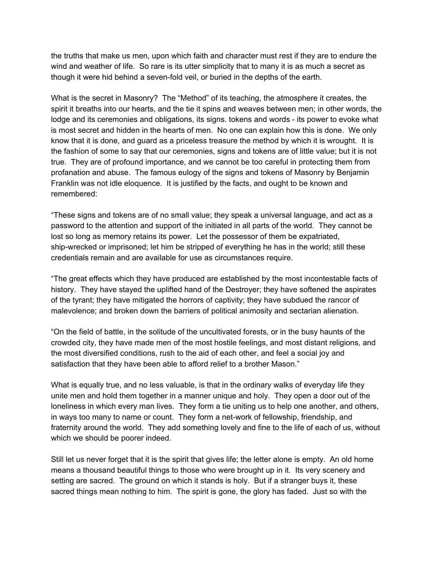the truths that make us men, upon which faith and character must rest if they are to endure the wind and weather of life. So rare is its utter simplicity that to many it is as much a secret as though it were hid behind a seven-fold veil, or buried in the depths of the earth.

What is the secret in Masonry? The "Method" of its teaching, the atmosphere it creates, the spirit it breaths into our hearts, and the tie it spins and weaves between men; in other words, the lodge and its ceremonies and obligations, its signs. tokens and words - its power to evoke what is most secret and hidden in the hearts of men. No one can explain how this is done. We only know that it is done, and guard as a priceless treasure the method by which it is wrought. It is the fashion of some to say that our ceremonies, signs and tokens are of little value; but it is not true. They are of profound importance, and we cannot be too careful in protecting them from profanation and abuse. The famous eulogy of the signs and tokens of Masonry by Benjamin Franklin was not idle eloquence. It is justified by the facts, and ought to be known and remembered:

"These signs and tokens are of no small value; they speak a universal language, and act as a password to the attention and support of the initiated in all parts of the world. They cannot be lost so long as memory retains its power. Let the possessor of them be expatriated, ship-wrecked or imprisoned; let him be stripped of everything he has in the world; still these credentials remain and are available for use as circumstances require.

"The great effects which they have produced are established by the most incontestable facts of history. They have stayed the uplifted hand of the Destroyer; they have softened the aspirates of the tyrant; they have mitigated the horrors of captivity; they have subdued the rancor of malevolence; and broken down the barriers of political animosity and sectarian alienation.

"On the field of battle, in the solitude of the uncultivated forests, or in the busy haunts of the crowded city, they have made men of the most hostile feelings, and most distant religions, and the most diversified conditions, rush to the aid of each other, and feel a social joy and satisfaction that they have been able to afford relief to a brother Mason."

What is equally true, and no less valuable, is that in the ordinary walks of everyday life they unite men and hold them together in a manner unique and holy. They open a door out of the loneliness in which every man lives. They form a tie uniting us to help one another, and others, in ways too many to name or count. They form a net-work of fellowship, friendship, and fraternity around the world. They add something lovely and fine to the life of each of us, without which we should be poorer indeed.

Still let us never forget that it is the spirit that gives life; the letter alone is empty. An old home means a thousand beautiful things to those who were brought up in it. Its very scenery and setting are sacred. The ground on which it stands is holy. But if a stranger buys it, these sacred things mean nothing to him. The spirit is gone, the glory has faded. Just so with the